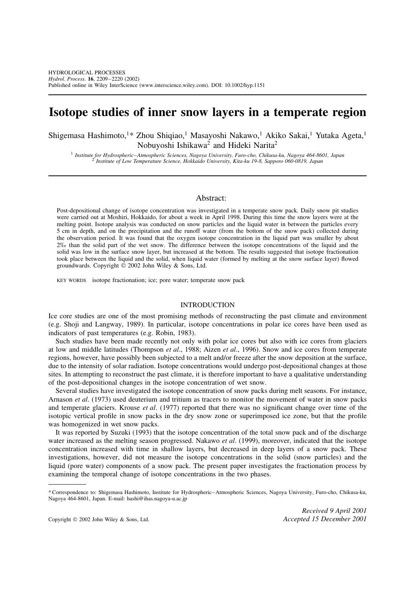# **Isotope studies of inner snow layers in a temperate region**

Shigemasa Hashimoto,<sup>1\*</sup> Zhou Shiqiao,<sup>1</sup> Masayoshi Nakawo,<sup>1</sup> Akiko Sakai,<sup>1</sup> Yutaka Ageta,<sup>1</sup> Nobuyoshi Ishikawa<sup>2</sup> and Hideki Narita<sup>2</sup>

<sup>1</sup> Institute for Hydrospheric-Atmospheric Sciences, Nagoya University, Furo-cho, Chikusa-ku, Nagoya 464-8601, Japan<br><sup>2</sup> Institute of Low Temperature Science, Hokkaido University, Kita-ku 19-8, Sapporo 060-0819, Japan

# Abstract:

Post-depositional change of isotope concentration was investigated in a temperate snow pack. Daily snow pit studies were carried out at Moshiri, Hokkaido, for about a week in April 1998. During this time the snow layers were at the melting point. Isotope analysis was conducted on snow particles and the liquid water in between the particles every 5 cm in depth, and on the precipitation and the runoff water (from the bottom of the snow pack) collected during the observation period. It was found that the oxygen isotope concentration in the liquid part was smaller by about 2‰ than the solid part of the wet snow. The difference between the isotope concentrations of the liquid and the solid was low in the surface snow layer, but increased at the bottom. The results suggested that isotope fractionation took place between the liquid and the solid, when liquid water (formed by melting at the snow surface layer) flowed groundwards. Copyright  $\odot$  2002 John Wiley & Sons, Ltd.

KEY WORDS isotope fractionation; ice; pore water; temperate snow pack

# INTRODUCTION

Ice core studies are one of the most promising methods of reconstructing the past climate and environment (e.g. Shoji and Langway, 1989). In particular, isotope concentrations in polar ice cores have been used as indicators of past temperatures (e.g. Robin, 1983).

Such studies have been made recently not only with polar ice cores but also with ice cores from glaciers at low and middle latitudes (Thompson *et al*., 1988; Aizen *et al*., 1996). Snow and ice cores from temperate regions, however, have possibly been subjected to a melt and/or freeze after the snow deposition at the surface, due to the intensity of solar radiation. Isotope concentrations would undergo post-depositional changes at those sites. In attempting to reconstruct the past climate, it is therefore important to have a qualitative understanding of the post-depositional changes in the isotope concentration of wet snow.

Several studies have investigated the isotope concentration of snow packs during melt seasons. For instance, Arnason *et al*. (1973) used deuterium and tritium as tracers to monitor the movement of water in snow packs and temperate glaciers. Krouse *et al*. (1977) reported that there was no significant change over time of the isotopic vertical profile in snow packs in the dry snow zone or superimposed ice zone, but that the profile was homogenized in wet snow packs.

It was reported by Suzuki (1993) that the isotope concentration of the total snow pack and of the discharge water increased as the melting season progressed. Nakawo *et al*. (1999), moreover, indicated that the isotope concentration increased with time in shallow layers, but decreased in deep layers of a snow pack. These investigations, however, did not measure the isotope concentrations in the solid (snow particles) and the liquid (pore water) components of a snow pack. The present paper investigates the fractionation process by examining the temporal change of isotope concentrations in the two phases.

<sup>\*</sup> Correspondence to: Shigemasa Hashimoto, Institute for Hydrospheric–Atmospheric Sciences, Nagoya University, Furo-cho, Chikusa-ku, Nagoya 464-8601, Japan. E-mail: hashi@ihas.nagoya-u.ac.jp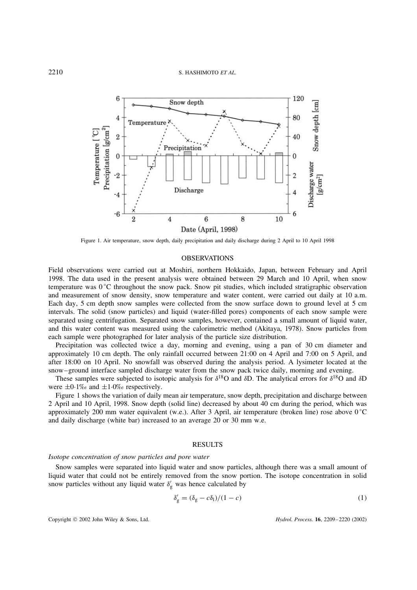

Figure 1. Air temperature, snow depth, daily precipitation and daily discharge during 2 April to 10 April 1998

## **OBSERVATIONS**

Field observations were carried out at Moshiri, northern Hokkaido, Japan, between February and April 1998. The data used in the present analysis were obtained between 29 March and 10 April, when snow temperature was  $0^{\circ}$ C throughout the snow pack. Snow pit studies, which included stratigraphic observation and measurement of snow density, snow temperature and water content, were carried out daily at 10 a.m. Each day, 5 cm depth snow samples were collected from the snow surface down to ground level at 5 cm intervals. The solid (snow particles) and liquid (water-filled pores) components of each snow sample were separated using centrifugation. Separated snow samples, however, contained a small amount of liquid water, and this water content was measured using the calorimetric method (Akitaya, 1978). Snow particles from each sample were photographed for later analysis of the particle size distribution.

Precipitation was collected twice a day, morning and evening, using a pan of 30 cm diameter and approximately 10 cm depth. The only rainfall occurred between 21:00 on 4 April and 7:00 on 5 April, and after 18:00 on 10 April. No snowfall was observed during the analysis period. A lysimeter located at the snow–ground interface sampled discharge water from the snow pack twice daily, morning and evening.

These samples were subjected to isotopic analysis for  $\delta^{18}O$  and  $\delta D$ . The analytical errors for  $\delta^{18}O$  and  $\delta D$ were  $\pm 0.1\%$  and  $\pm 1.0\%$  respectively.

Figure 1 shows the variation of daily mean air temperature, snow depth, precipitation and discharge between 2 April and 10 April, 1998. Snow depth (solid line) decreased by about 40 cm during the period, which was approximately 200 mm water equivalent (w.e.). After 3 April, air temperature (broken line) rose above 0 °C and daily discharge (white bar) increased to an average 20 or 30 mm w.e.

# **RESULTS**

# *Isotope concentration of snow particles and pore water*

Snow samples were separated into liquid water and snow particles, although there was a small amount of liquid water that could not be entirely removed from the snow portion. The isotope concentration in solid snow particles without any liquid water  $\delta'_{g}$  was hence calculated by

$$
\delta'_{g} = (\delta_{g} - c\delta_{l})/(1 - c) \tag{1}
$$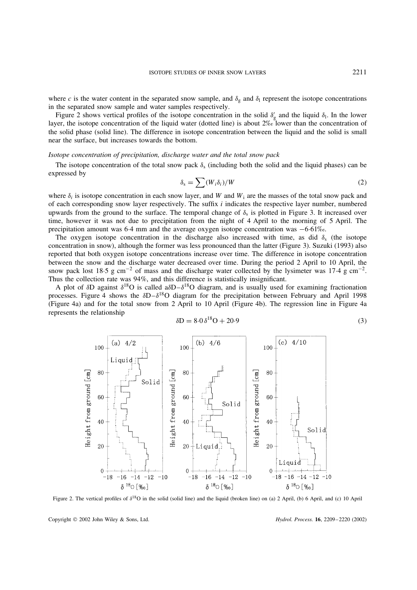where c is the water content in the separated snow sample, and  $\delta_g$  and  $\delta_l$  represent the isotope concentrations in the separated snow sample and water samples respectively.

Figure 2 shows vertical profiles of the isotope concentration in the solid  $\delta'_{g}$  and the liquid  $\delta_{1}$ . In the lower layer, the isotope concentration of the liquid water (dotted line) is about 2‰ lower than the concentration of the solid phase (solid line). The difference in isotope concentration between the liquid and the solid is small near the surface, but increases towards the bottom.

#### *Isotope concentration of precipitation, discharge water and the total snow pack*

The isotope concentration of the total snow pack  $\delta_s$  (including both the solid and the liquid phases) can be expressed by

$$
\delta_{\rm s} = \sum (W_i \delta_i) / W \tag{2}
$$

where  $\delta_i$  is isotope concentration in each snow layer, and W and W<sub>i</sub> are the masses of the total snow pack and of each corresponding snow layer respectively. The suffix i indicates the respective layer number, numbered upwards from the ground to the surface. The temporal change of  $\delta_s$  is plotted in Figure 3. It increased over time, however it was not due to precipitation from the night of 4 April to the morning of 5 April. The precipitation amount was  $6·4$  mm and the average oxygen isotope concentration was  $-6·61$ ‰.

The oxygen isotope concentration in the discharge also increased with time, as did  $\delta_s$  (the isotope concentration in snow), although the former was less pronounced than the latter (Figure 3). Suzuki (1993) also reported that both oxygen isotope concentrations increase over time. The difference in isotope concentration between the snow and the discharge water decreased over time. During the period 2 April to 10 April, the snow pack lost 18.5 g cm<sup>-2</sup> of mass and the discharge water collected by the lysimeter was 17.4 g cm<sup>-2</sup>. Thus the collection rate was 94%, and this difference is statistically insignificant.

A plot of  $\delta D$  against  $\delta^{18}O$  is called a $\delta D-\delta^{18}O$  diagram, and is usually used for examining fractionation processes. Figure 4 shows the  $\delta D - \delta^{18}O$  diagram for the precipitation between February and April 1998 (Figure 4a) and for the total snow from 2 April to 10 April (Figure 4b). The regression line in Figure 4a represents the relationship

$$
\delta D = 8.0 \delta^{18} O + 20.9 \tag{3}
$$



Figure 2. The vertical profiles of  $\delta^{18}O$  in the solid (solid line) and the liquid (broken line) on (a) 2 April, (b) 6 April, and (c) 10 April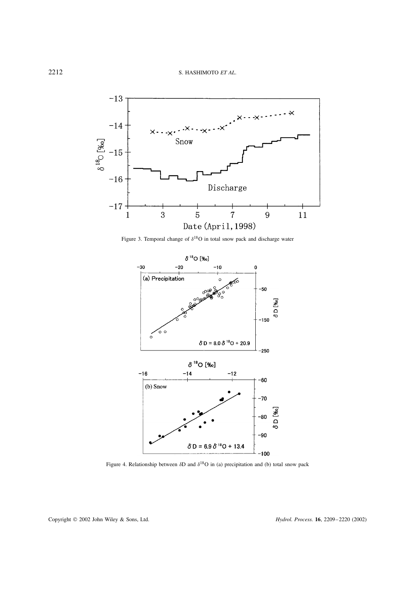![](_page_3_Figure_1.jpeg)

Figure 3. Temporal change of  $\delta^{18}O$  in total snow pack and discharge water

![](_page_3_Figure_3.jpeg)

Figure 4. Relationship between  $\delta D$  and  $\delta^{18}O$  in (a) precipitation and (b) total snow pack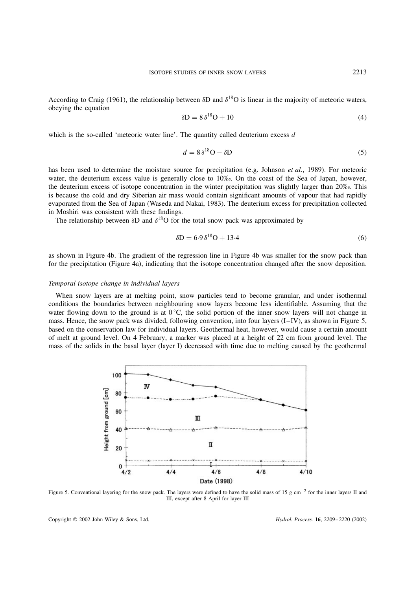According to Craig (1961), the relationship between  $\delta$ D and  $\delta$ <sup>18</sup>O is linear in the majority of meteoric waters, obeying the equation

$$
\delta D = 8 \delta^{18} O + 10 \tag{4}
$$

which is the so-called 'meteoric water line'. The quantity called deuterium excess  $d$ 

$$
d = 8\,\delta^{18}\text{O} - \delta\text{D} \tag{5}
$$

has been used to determine the moisture source for precipitation (e.g. Johnson *et al*., 1989). For meteoric water, the deuterium excess value is generally close to 10‰. On the coast of the Sea of Japan, however, the deuterium excess of isotope concentration in the winter precipitation was slightly larger than 20‰. This is because the cold and dry Siberian air mass would contain significant amounts of vapour that had rapidly evaporated from the Sea of Japan (Waseda and Nakai, 1983). The deuterium excess for precipitation collected in Moshiri was consistent with these findings.

The relationship between  $\delta D$  and  $\delta^{18}O$  for the total snow pack was approximated by

$$
\delta \mathbf{D} = 6.9 \,\delta^{18} \mathbf{O} + 13.4\tag{6}
$$

as shown in Figure 4b. The gradient of the regression line in Figure 4b was smaller for the snow pack than for the precipitation (Figure 4a), indicating that the isotope concentration changed after the snow deposition.

### *Temporal isotope change in individual layers*

When snow layers are at melting point, snow particles tend to become granular, and under isothermal conditions the boundaries between neighbouring snow layers become less identifiable. Assuming that the water flowing down to the ground is at  $0^{\circ}$ C, the solid portion of the inner snow layers will not change in mass. Hence, the snow pack was divided, following convention, into four layers (I–IV), as shown in Figure 5, based on the conservation law for individual layers. Geothermal heat, however, would cause a certain amount of melt at ground level. On 4 February, a marker was placed at a height of 22 cm from ground level. The mass of the solids in the basal layer (layer I) decreased with time due to melting caused by the geothermal

![](_page_4_Figure_11.jpeg)

Figure 5. Conventional layering for the snow pack. The layers were defined to have the solid mass of 15 g cm<sup>-2</sup> for the inner layers II and III, except after 8 April for layer III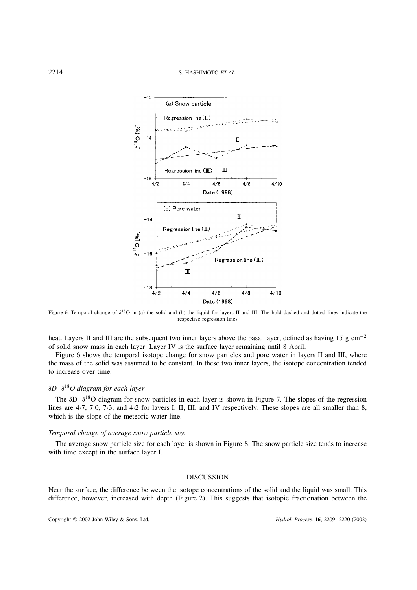![](_page_5_Figure_1.jpeg)

Figure 6. Temporal change of  $\delta^{18}O$  in (a) the solid and (b) the liquid for layers II and III. The bold dashed and dotted lines indicate the respective regression lines

heat. Layers II and III are the subsequent two inner layers above the basal layer, defined as having 15 g cm<sup>-2</sup> of solid snow mass in each layer. Layer IV is the surface layer remaining until 8 April.

Figure 6 shows the temporal isotope change for snow particles and pore water in layers II and III, where the mass of the solid was assumed to be constant. In these two inner layers, the isotope concentration tended to increase over time.

# υ*D–*υ18*O diagram for each layer*

The  $\delta D - \delta^{18}O$  diagram for snow particles in each layer is shown in Figure 7. The slopes of the regression lines are 4.7, 7.0, 7.3, and 4.2 for layers I, II, III, and IV respectively. These slopes are all smaller than 8, which is the slope of the meteoric water line.

# *Temporal change of average snow particle size*

The average snow particle size for each layer is shown in Figure 8. The snow particle size tends to increase with time except in the surface layer I.

#### DISCUSSION

Near the surface, the difference between the isotope concentrations of the solid and the liquid was small. This difference, however, increased with depth (Figure 2). This suggests that isotopic fractionation between the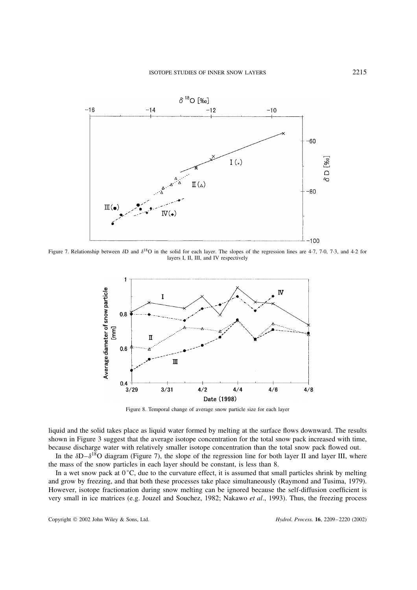![](_page_6_Figure_1.jpeg)

Figure 7. Relationship between δD and  $\delta^{18}$ O in the solid for each layer. The slopes of the regression lines are 4.7, 7.0, 7.3, and 4.2 for layers I, II, III, and IV respectively

![](_page_6_Figure_3.jpeg)

Figure 8. Temporal change of average snow particle size for each layer

liquid and the solid takes place as liquid water formed by melting at the surface flows downward. The results shown in Figure 3 suggest that the average isotope concentration for the total snow pack increased with time, because discharge water with relatively smaller isotope concentration than the total snow pack flowed out.

In the  $\delta D - \delta^{18}O$  diagram (Figure 7), the slope of the regression line for both layer II and layer III, where the mass of the snow particles in each layer should be constant, is less than 8.

In a wet snow pack at  $0^{\circ}$ C, due to the curvature effect, it is assumed that small particles shrink by melting and grow by freezing, and that both these processes take place simultaneously (Raymond and Tusima, 1979). However, isotope fractionation during snow melting can be ignored because the self-diffusion coefficient is very small in ice matrices (e.g. Jouzel and Souchez, 1982; Nakawo *et al*., 1993). Thus, the freezing process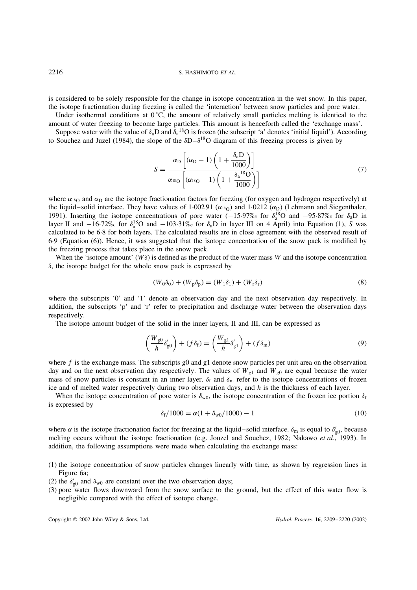is considered to be solely responsible for the change in isotope concentration in the wet snow. In this paper, the isotope fractionation during freezing is called the 'interaction' between snow particles and pore water.

Under isothermal conditions at  $0^{\circ}$ C, the amount of relatively small particles melting is identical to the amount of water freezing to become large particles. This amount is henceforth called the 'exchange mass'.

Suppose water with the value of  $\delta_a D$  and  $\delta_a^{18}O$  is frozen (the subscript 'a' denotes 'initial liquid'). According to Souchez and Juzel (1984), the slope of the  $\delta D - \delta^{18}O$  diagram of this freezing process is given by

$$
S = \frac{\alpha_{\rm D} \left[ (\alpha_{\rm D} - 1) \left( 1 + \frac{\delta_{\rm a} \mathbf{D}}{1000} \right) \right]}{\alpha_{\rm B} \left[ (\alpha_{\rm B} - 1) \left( 1 + \frac{\delta_{\rm a}^{\rm B} \mathbf{O}}{1000} \right) \right]}
$$
(7)

where  $\alpha_{18}$  and  $\alpha_D$  are the isotope fractionation factors for freezing (for oxygen and hydrogen respectively) at the liquid–solid interface. They have values of 100291 ( $\alpha_{18O}$ ) and 10212 ( $\alpha_D$ ) (Lehmann and Siegenthaler, 1991). Inserting the isotope concentrations of pore water  $(-15.97\% \text{ or } \delta_a^{18}O$  and  $-95.87\% \text{ or } \delta_a D$  in layer II and  $-16·72\%$  for  $\delta_a^{18}O$  and  $-103·31\%$  for  $\delta_aD$  in layer III on 4 April) into Equation (1), S was calculated to be 6Ð8 for both layers. The calculated results are in close agreement with the observed result of 6Ð9 (Equation (6)). Hence, it was suggested that the isotope concentration of the snow pack is modified by the freezing process that takes place in the snow pack.

When the 'isotope amount' ( $W\delta$ ) is defined as the product of the water mass W and the isotope concentration  $\delta$ , the isotope budget for the whole snow pack is expressed by

$$
(W_0 \delta_0) + (W_p \delta_p) = (W_1 \delta_1) + (W_r \delta_r) \tag{8}
$$

where the subscripts '0' and '1' denote an observation day and the next observation day respectively. In addition, the subscripts 'p' and 'r' refer to precipitation and discharge water between the observation days respectively.

The isotope amount budget of the solid in the inner layers, II and III, can be expressed as

$$
\left(\frac{W_{g0}}{h}\delta'_{g0}\right) + (f\delta_f) = \left(\frac{W_{g1}}{h}\delta'_{g1}\right) + (f\delta_m) \tag{9}
$$

where  $f$  is the exchange mass. The subscripts  $g0$  and  $g1$  denote snow particles per unit area on the observation day and on the next observation day respectively. The values of  $W_{g1}$  and  $W_{g0}$  are equal because the water mass of snow particles is constant in an inner layer.  $\delta_f$  and  $\delta_m$  refer to the isotope concentrations of frozen ice and of melted water respectively during two observation days, and  $h$  is the thickness of each layer.

When the isotope concentration of pore water is  $\delta_{w0}$ , the isotope concentration of the frozen ice portion  $\delta_f$ is expressed by

$$
\delta_{\rm f}/1000 = \alpha (1 + \delta_{\rm w0}/1000) - 1 \tag{10}
$$

where  $\alpha$  is the isotope fractionation factor for freezing at the liquid–solid interface.  $\delta_m$  is equal to  $\delta'_{g0}$ , because melting occurs without the isotope fractionation (e.g. Jouzel and Souchez, 1982; Nakawo *et al*., 1993). In addition, the following assumptions were made when calculating the exchange mass:

- (1) the isotope concentration of snow particles changes linearly with time, as shown by regression lines in Figure 6a;
- (2) the  $\delta'_{g0}$  and  $\delta_{w0}$  are constant over the two observation days;
- (3) pore water flows downward from the snow surface to the ground, but the effect of this water flow is negligible compared with the effect of isotope change.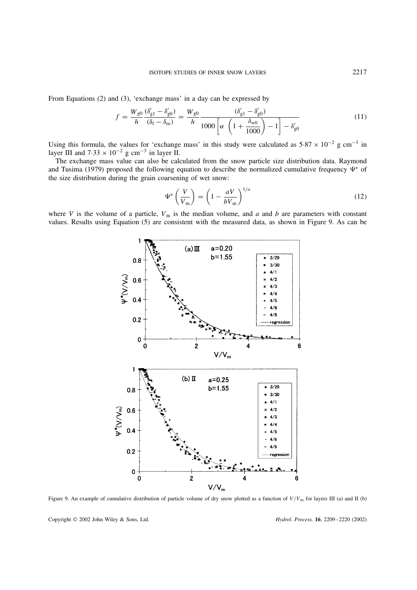From Equations (2) and (3), 'exchange mass' in a day can be expressed by

$$
f = \frac{W_{g0}}{h} \frac{(\delta'_{g1} - \delta'_{g0})}{(\delta_f - \delta_m)} = \frac{W_{g0}}{h} \frac{(\delta'_{g1} - \delta'_{g0})}{1000 \left[ \alpha \left( 1 + \frac{\delta_{w0}}{1000} \right) - 1 \right] - \delta'_{g0}} \tag{11}
$$

Using this formula, the values for 'exchange mass' in this study were calculated as  $5.87 \times 10^{-2}$  g cm<sup>-3</sup> in layer III and  $7.33 \times 10^{-2}$  g cm<sup>-3</sup> in layer II.

The exchange mass value can also be calculated from the snow particle size distribution data. Raymond and Tusima (1979) proposed the following equation to describe the normalized cumulative frequency  $\Psi^*$  of the size distribution during the grain coarsening of wet snow:

$$
\Psi^* \left( \frac{V}{V_{\rm m}} \right) = \left( 1 - \frac{aV}{bV_{\rm m}} \right)^{1/a} \tag{12}
$$

where V is the volume of a particle,  $V_m$  is the median volume, and a and b are parameters with constant values. Results using Equation (5) are consistent with the measured data, as shown in Figure 9. As can be

![](_page_8_Figure_7.jpeg)

Figure 9. An example of cumulative distribution of particle volume of dry snow plotted as a function of  $V/V<sub>m</sub>$  for layers III (a) and II (b)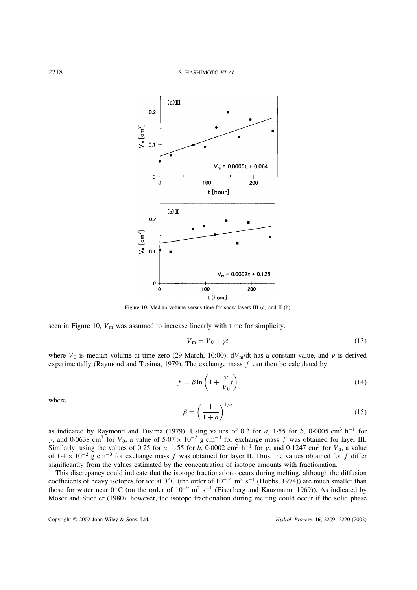![](_page_9_Figure_1.jpeg)

Figure 10. Median volume versus time for snow layers III (a) and II (b)

seen in Figure 10,  $V_m$  was assumed to increase linearly with time for simplicity.

$$
V_{\rm m} = V_0 + \gamma t \tag{13}
$$

where  $V_0$  is median volume at time zero (29 March, 10:00),  $dV_m/dt$  has a constant value, and  $\gamma$  is derived experimentally (Raymond and Tusima, 1979). The exchange mass  $f$  can then be calculated by

$$
f = \beta \ln \left( 1 + \frac{\gamma}{V_0} t \right) \tag{14}
$$

where

$$
\beta = \left(\frac{1}{1+a}\right)^{1/a} \tag{15}
$$

as indicated by Raymond and Tusima (1979). Using values of 0.2 for a, 1.55 for b, 0.0005 cm<sup>3</sup> h<sup>-1</sup> for  $\gamma$ , and 0.0638 cm<sup>3</sup> for  $V_0$ , a value of  $5.07 \times 10^{-2}$  g cm<sup>-3</sup> for exchange mass f was obtained for layer III. Similarly, using the values of 0.25 for a, 1.55 for b, 0.0002 cm<sup>3</sup> h<sup>-1</sup> for  $\gamma$ , and 0.1247 cm<sup>3</sup> for  $V_0$ , a value of  $1.4 \times 10^{-2}$  g cm<sup>-3</sup> for exchange mass f was obtained for layer II. Thus, the values obtained for f differ significantly from the values estimated by the concentration of isotope amounts with fractionation.

This discrepancy could indicate that the isotope fractionation occurs during melting, although the diffusion coefficients of heavy isotopes for ice at 0 °C (the order of  $10^{-14}$  m<sup>2</sup> s<sup>-1</sup> (Hobbs, 1974)) are much smaller than those for water near  $0^{\circ}$ C (on the order of  $10^{-9}$  m<sup>2</sup> s<sup>-1</sup> (Eisenberg and Kauzmann, 1969)). As indicated by Moser and Stichler (1980), however, the isotope fractionation during melting could occur if the solid phase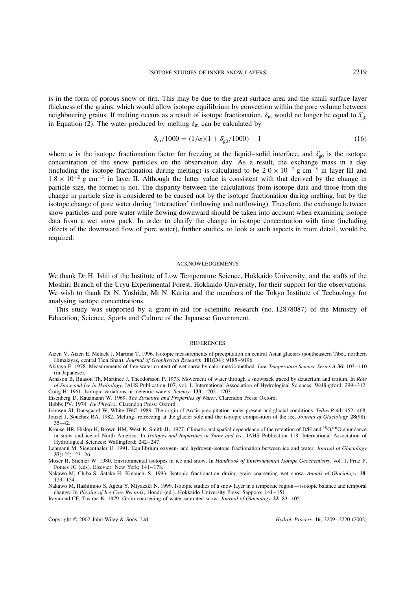is in the form of porous snow or firn. This may be due to the great surface area and the small surface layer thickness of the grains, which would allow isotope equilibrium by convection within the pore volume between neighbouring grains. If melting occurs as a result of isotope fractionation,  $\delta_m$  would no longer be equal to  $\delta'_{g0}$ in Equation (2). The water produced by melting  $\delta_{\rm m}$  can be calculated by

$$
\delta_{\rm m}/1000 = (1/\alpha)(1 + \delta'_{\rm g0}/1000) - 1\tag{16}
$$

where  $\alpha$  is the isotope fractionation factor for freezing at the liquid–solid interface, and  $\delta'_{g0}$  is the isotope concentration of the snow particles on the observation day. As a result, the exchange mass in a day (including the isotope fractionation during melting) is calculated to be  $2.0 \times 10^{-2}$  g cm<sup>-3</sup> in layer III and  $1.8 \times 10^{-2}$  g cm<sup>-3</sup> in layer II. Although the latter value is consistent with that derived by the change in particle size, the former is not. The disparity between the calculations from isotope data and those from the change in particle size is considered to be caused not by the isotope fractionation during melting, but by the isotope change of pore water during 'interaction' (inflowing and outflowing). Therefore, the exchange between snow particles and pore water while flowing downward should be taken into account when examining isotope data from a wet snow pack. In order to clarify the change in isotope concentration with time (including effects of the downward flow of pore water), further studies, to look at such aspects in more detail, would be required.

#### ACKNOWLEDGEMENTS

We thank Dr H. Ishii of the Institute of Low Temperature Science, Hokkaido University, and the staffs of the Moshiri Branch of the Uryu Experimental Forest, Hokkaido University, for their support for the observations. We wish to thank Dr N. Yoshida, Mr N. Kurita and the members of the Tokyo Institute of Technology for analysing isotope concentrations.

This study was supported by a grant-in-aid for scientific research (no. 12878087) of the Ministry of Education, Science, Sports and Culture of the Japanese Government.

#### **REFERENCES**

Lehmann M, Siegenthaler U. 1991. Equilibrium oxygen- and hydrogen-isotope fractionation between ice and water. *Journal of Glaciology* **37**(125): 23–26.

Moser H, Stichler W. 1980. Environmental isotopes in ice and snow. In *Handbook of Environmental Isotope Geochemistry*, vol. 1, Fritz P, Fontes JC (eds). Elsevier: New York; 141–178.

Nakawo M, Hashimoto S, Ageta Y, Miyazaki N. 1999. Isotopic studies of a snow layer in a temperate region—isotopic balance and temporal change. In *Physics of Ice Core Records*, Hondo (ed.). Hokkaido University Press: Sapporo; 141–151.

Raymond CF, Tusima K. 1979. Grain coarsening of water-saturated snow. *Journal of Glaciology* **22**: 83–105.

Aizen V, Aizen E, Melack J, Martma T. 1996. Isotopic measurements of precipitation on central Asian glaciers (southeastern Tibet, northern Himalayas, central Tien Shan). *Journal of Geophysical Research* **101**(D4): 9185–9196.

Akitaya E. 1978. Measurements of free water content of wet snow by calorimetric method. *Low Temperature Science Series A* **36**: 103–110 (in Japanese).

Arnason B, Buason Th, Martinec J, Theodorsson P. 1973. Movement of water through a snowpack traced by deuterium and tritium. In *Role of Snow and Ice in Hydrology*. IAHS Publication 107, vol. 1. International Association of Hydrological Sciences: Wallingford; 299–312. Craig H. 1961. Isotopic variations in meteoric waters. *Science* **133**: 1702–1703.

Eisenberg D, Kauzmann W. 1969. *The Structure and Properties of Water*. Clarendon Press: Oxford.

Hobbs PV. 1974. *Ice Physics*. Clarendon Press: Oxford.

Johnsen SJ, Dansgaard W, White JWC. 1989. The origin of Arctic precipitation under present and glacial conditions. *Tellus B* **41**: 452–468. Jouzel J, Souchez RA. 1982. Melting–refreezing at the glacier sole and the isotopic composition of the ice. *Journal of Glaciology* **28**(98):  $35 - 42$ 

Krouse HR, Hislop H, Brown HM, West K, Smith JL. 1977. Climatic and spatial dependence of the retention of D/H and <sup>18</sup>O/<sup>16</sup>O abundance in snow and ice of North America. In *Isotopes and Impurities in Snow and Ice*. IAHS Publication 118. International Association of Hydrological Sciences: Wallingford; 242–247.

Nakawo M, Chiba S, Satake H, Kinouchi S. 1993. Isotopic fractionation during grain coarsening wet snow. *Annals of Glaciology* **18**: 129–134.